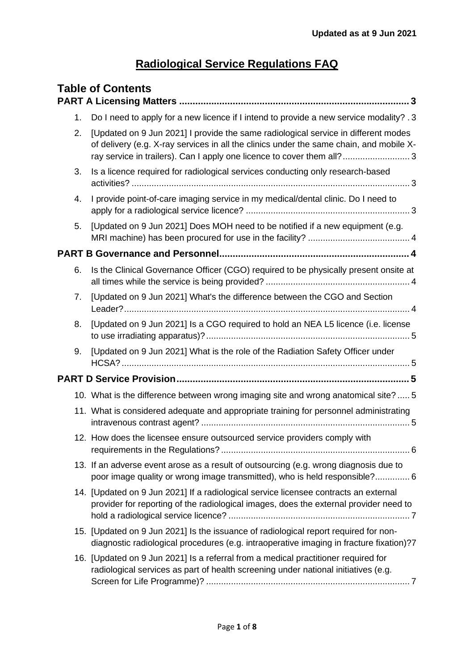# **Radiological Service Regulations FAQ**

| <b>Table of Contents</b> |                                                                                                                                                                                                                                                        |  |
|--------------------------|--------------------------------------------------------------------------------------------------------------------------------------------------------------------------------------------------------------------------------------------------------|--|
| 1.                       | Do I need to apply for a new licence if I intend to provide a new service modality? . 3                                                                                                                                                                |  |
| 2.                       | [Updated on 9 Jun 2021] I provide the same radiological service in different modes<br>of delivery (e.g. X-ray services in all the clinics under the same chain, and mobile X-<br>ray service in trailers). Can I apply one licence to cover them all?3 |  |
| 3.                       | Is a licence required for radiological services conducting only research-based                                                                                                                                                                         |  |
| 4.                       | I provide point-of-care imaging service in my medical/dental clinic. Do I need to                                                                                                                                                                      |  |
| 5.                       | [Updated on 9 Jun 2021] Does MOH need to be notified if a new equipment (e.g.                                                                                                                                                                          |  |
|                          |                                                                                                                                                                                                                                                        |  |
| 6.                       | Is the Clinical Governance Officer (CGO) required to be physically present onsite at                                                                                                                                                                   |  |
| 7.                       | [Updated on 9 Jun 2021] What's the difference between the CGO and Section                                                                                                                                                                              |  |
| 8.                       | [Updated on 9 Jun 2021] Is a CGO required to hold an NEA L5 licence (i.e. license                                                                                                                                                                      |  |
| 9.                       | [Updated on 9 Jun 2021] What is the role of the Radiation Safety Officer under                                                                                                                                                                         |  |
|                          |                                                                                                                                                                                                                                                        |  |
|                          | 10. What is the difference between wrong imaging site and wrong anatomical site?  5                                                                                                                                                                    |  |
|                          | 11. What is considered adequate and appropriate training for personnel administrating                                                                                                                                                                  |  |
|                          | 12. How does the licensee ensure outsourced service providers comply with                                                                                                                                                                              |  |
|                          | 13. If an adverse event arose as a result of outsourcing (e.g. wrong diagnosis due to<br>poor image quality or wrong image transmitted), who is held responsible? 6                                                                                    |  |
|                          | 14. [Updated on 9 Jun 2021] If a radiological service licensee contracts an external<br>provider for reporting of the radiological images, does the external provider need to                                                                          |  |
|                          | 15. [Updated on 9 Jun 2021] Is the issuance of radiological report required for non-<br>diagnostic radiological procedures (e.g. intraoperative imaging in fracture fixation)?7                                                                        |  |
|                          | 16. [Updated on 9 Jun 2021] Is a referral from a medical practitioner required for<br>radiological services as part of health screening under national initiatives (e.g.                                                                               |  |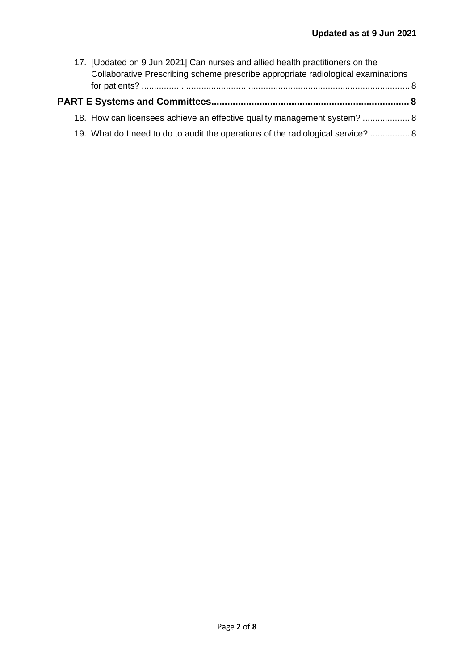| 17. [Updated on 9 Jun 2021] Can nurses and allied health practitioners on the    |  |
|----------------------------------------------------------------------------------|--|
| Collaborative Prescribing scheme prescribe appropriate radiological examinations |  |
|                                                                                  |  |
| 18. How can licensees achieve an effective quality management system?  8         |  |
| 19. What do I need to do to audit the operations of the radiological service?  8 |  |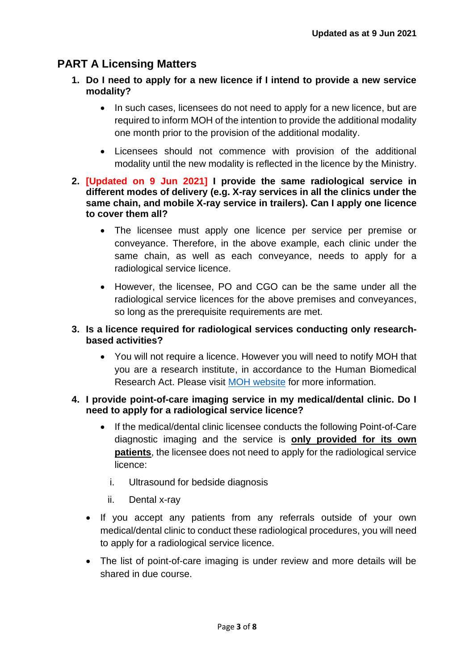# <span id="page-2-1"></span><span id="page-2-0"></span>**PART A Licensing Matters**

- **1. Do I need to apply for a new licence if I intend to provide a new service modality?** 
	- In such cases, licensees do not need to apply for a new licence, but are required to inform MOH of the intention to provide the additional modality one month prior to the provision of the additional modality.
	- Licensees should not commence with provision of the additional modality until the new modality is reflected in the licence by the Ministry.
- <span id="page-2-2"></span>**2. [Updated on 9 Jun 2021] I provide the same radiological service in different modes of delivery (e.g. X-ray services in all the clinics under the same chain, and mobile X-ray service in trailers). Can I apply one licence to cover them all?** 
	- The licensee must apply one licence per service per premise or conveyance. Therefore, in the above example, each clinic under the same chain, as well as each conveyance, needs to apply for a radiological service licence.
	- However, the licensee, PO and CGO can be the same under all the radiological service licences for the above premises and conveyances, so long as the prerequisite requirements are met.

### <span id="page-2-3"></span>**3. Is a licence required for radiological services conducting only researchbased activities?**

• You will not require a licence. However you will need to notify MOH that you are a research institute, in accordance to the Human Biomedical Research Act. Please visit [MOH website](https://moh.gov.sg/policies-and-legislation/human-biomedical-research-act) for more information.

### <span id="page-2-4"></span>**4. I provide point-of-care imaging service in my medical/dental clinic. Do I need to apply for a radiological service licence?**

- If the medical/dental clinic licensee conducts the following Point-of-Care diagnostic imaging and the service is **only provided for its own patients**, the licensee does not need to apply for the radiological service licence:
	- i. Ultrasound for bedside diagnosis
	- ii. Dental x-ray
- If you accept any patients from any referrals outside of your own medical/dental clinic to conduct these radiological procedures, you will need to apply for a radiological service licence.
- The list of point-of-care imaging is under review and more details will be shared in due course.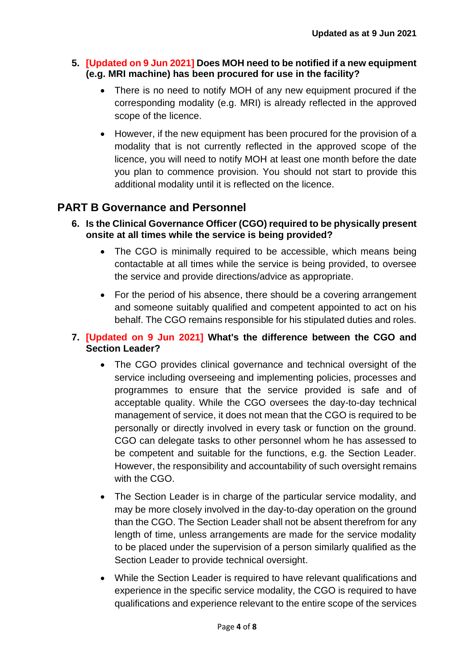### <span id="page-3-0"></span>**5. [Updated on 9 Jun 2021] Does MOH need to be notified if a new equipment (e.g. MRI machine) has been procured for use in the facility?**

- There is no need to notify MOH of any new equipment procured if the corresponding modality (e.g. MRI) is already reflected in the approved scope of the licence.
- However, if the new equipment has been procured for the provision of a modality that is not currently reflected in the approved scope of the licence, you will need to notify MOH at least one month before the date you plan to commence provision. You should not start to provide this additional modality until it is reflected on the licence.

## <span id="page-3-1"></span>**PART B Governance and Personnel**

- <span id="page-3-2"></span>**6. Is the Clinical Governance Officer (CGO) required to be physically present onsite at all times while the service is being provided?**
	- The CGO is minimally required to be accessible, which means being contactable at all times while the service is being provided, to oversee the service and provide directions/advice as appropriate.
	- For the period of his absence, there should be a covering arrangement and someone suitably qualified and competent appointed to act on his behalf. The CGO remains responsible for his stipulated duties and roles.

### <span id="page-3-3"></span>**7. [Updated on 9 Jun 2021] What's the difference between the CGO and Section Leader?**

- The CGO provides clinical governance and technical oversight of the service including overseeing and implementing policies, processes and programmes to ensure that the service provided is safe and of acceptable quality. While the CGO oversees the day-to-day technical management of service, it does not mean that the CGO is required to be personally or directly involved in every task or function on the ground. CGO can delegate tasks to other personnel whom he has assessed to be competent and suitable for the functions, e.g. the Section Leader. However, the responsibility and accountability of such oversight remains with the CGO.
- The Section Leader is in charge of the particular service modality, and may be more closely involved in the day-to-day operation on the ground than the CGO. The Section Leader shall not be absent therefrom for any length of time, unless arrangements are made for the service modality to be placed under the supervision of a person similarly qualified as the Section Leader to provide technical oversight.
- While the Section Leader is required to have relevant qualifications and experience in the specific service modality, the CGO is required to have qualifications and experience relevant to the entire scope of the services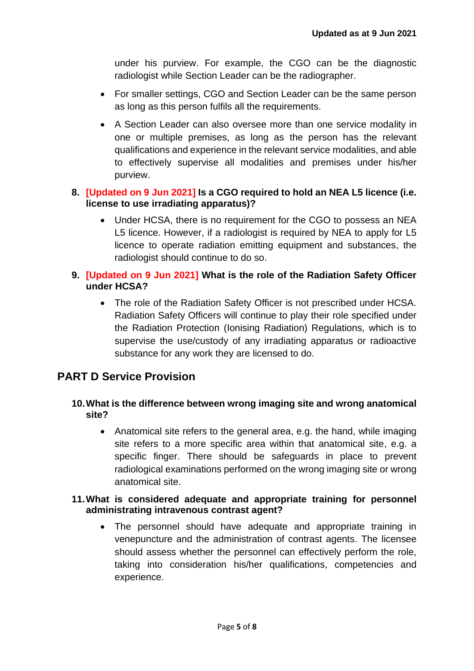under his purview. For example, the CGO can be the diagnostic radiologist while Section Leader can be the radiographer.

- For smaller settings, CGO and Section Leader can be the same person as long as this person fulfils all the requirements.
- A Section Leader can also oversee more than one service modality in one or multiple premises, as long as the person has the relevant qualifications and experience in the relevant service modalities, and able to effectively supervise all modalities and premises under his/her purview.

### <span id="page-4-0"></span>**8. [Updated on 9 Jun 2021] Is a CGO required to hold an NEA L5 licence (i.e. license to use irradiating apparatus)?**

• Under HCSA, there is no requirement for the CGO to possess an NEA L5 licence. However, if a radiologist is required by NEA to apply for L5 licence to operate radiation emitting equipment and substances, the radiologist should continue to do so.

### <span id="page-4-1"></span>**9. [Updated on 9 Jun 2021] What is the role of the Radiation Safety Officer under HCSA?**

• The role of the Radiation Safety Officer is not prescribed under HCSA. Radiation Safety Officers will continue to play their role specified under the Radiation Protection (Ionising Radiation) Regulations, which is to supervise the use/custody of any irradiating apparatus or radioactive substance for any work they are licensed to do.

# <span id="page-4-2"></span>**PART D Service Provision**

### <span id="page-4-3"></span>**10.What is the difference between wrong imaging site and wrong anatomical site?**

• Anatomical site refers to the general area, e.g. the hand, while imaging site refers to a more specific area within that anatomical site, e.g. a specific finger. There should be safeguards in place to prevent radiological examinations performed on the wrong imaging site or wrong anatomical site.

#### <span id="page-4-4"></span>**11.What is considered adequate and appropriate training for personnel administrating intravenous contrast agent?**

• The personnel should have adequate and appropriate training in venepuncture and the administration of contrast agents. The licensee should assess whether the personnel can effectively perform the role, taking into consideration his/her qualifications, competencies and experience.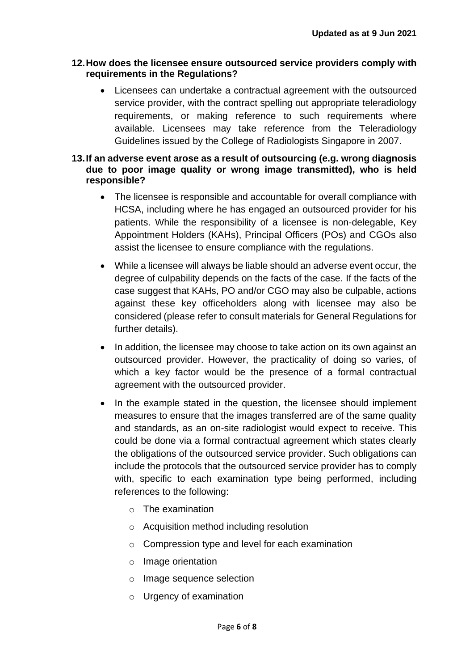#### <span id="page-5-0"></span>**12.How does the licensee ensure outsourced service providers comply with requirements in the Regulations?**

- Licensees can undertake a contractual agreement with the outsourced service provider, with the contract spelling out appropriate teleradiology requirements, or making reference to such requirements where available. Licensees may take reference from the Teleradiology Guidelines issued by the College of Radiologists Singapore in 2007.
- <span id="page-5-1"></span>**13.If an adverse event arose as a result of outsourcing (e.g. wrong diagnosis due to poor image quality or wrong image transmitted), who is held responsible?** 
	- The licensee is responsible and accountable for overall compliance with HCSA, including where he has engaged an outsourced provider for his patients. While the responsibility of a licensee is non-delegable, Key Appointment Holders (KAHs), Principal Officers (POs) and CGOs also assist the licensee to ensure compliance with the regulations.
	- While a licensee will always be liable should an adverse event occur, the degree of culpability depends on the facts of the case. If the facts of the case suggest that KAHs, PO and/or CGO may also be culpable, actions against these key officeholders along with licensee may also be considered (please refer to consult materials for General Regulations for further details).
	- In addition, the licensee may choose to take action on its own against an outsourced provider. However, the practicality of doing so varies, of which a key factor would be the presence of a formal contractual agreement with the outsourced provider.
	- In the example stated in the question, the licensee should implement measures to ensure that the images transferred are of the same quality and standards, as an on-site radiologist would expect to receive. This could be done via a formal contractual agreement which states clearly the obligations of the outsourced service provider. Such obligations can include the protocols that the outsourced service provider has to comply with, specific to each examination type being performed, including references to the following:
		- o The examination
		- o Acquisition method including resolution
		- o Compression type and level for each examination
		- o Image orientation
		- o Image sequence selection
		- o Urgency of examination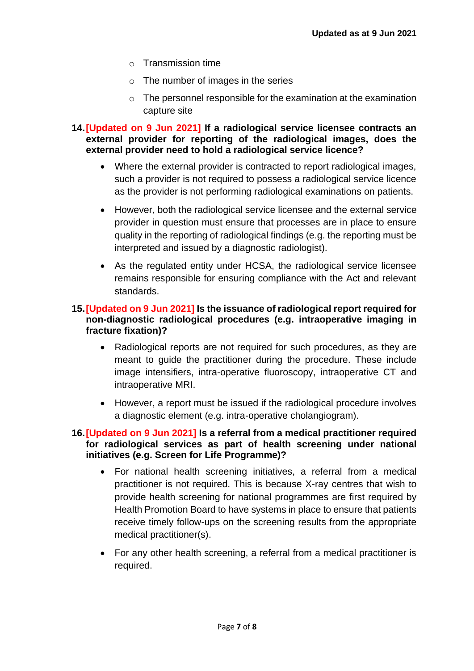- o Transmission time
- $\circ$  The number of images in the series
- $\circ$  The personnel responsible for the examination at the examination capture site
- <span id="page-6-0"></span>**14.[Updated on 9 Jun 2021] If a radiological service licensee contracts an external provider for reporting of the radiological images, does the external provider need to hold a radiological service licence?**
	- Where the external provider is contracted to report radiological images, such a provider is not required to possess a radiological service licence as the provider is not performing radiological examinations on patients.
	- However, both the radiological service licensee and the external service provider in question must ensure that processes are in place to ensure quality in the reporting of radiological findings (e.g. the reporting must be interpreted and issued by a diagnostic radiologist).
	- As the regulated entity under HCSA, the radiological service licensee remains responsible for ensuring compliance with the Act and relevant standards.

### <span id="page-6-1"></span>**15.[Updated on 9 Jun 2021] Is the issuance of radiological report required for non-diagnostic radiological procedures (e.g. intraoperative imaging in fracture fixation)?**

- Radiological reports are not required for such procedures, as they are meant to guide the practitioner during the procedure. These include image intensifiers, intra-operative fluoroscopy, intraoperative CT and intraoperative MRI.
- However, a report must be issued if the radiological procedure involves a diagnostic element (e.g. intra-operative cholangiogram).

### <span id="page-6-2"></span>**16.[Updated on 9 Jun 2021] Is a referral from a medical practitioner required for radiological services as part of health screening under national initiatives (e.g. Screen for Life Programme)?**

- For national health screening initiatives, a referral from a medical practitioner is not required. This is because X-ray centres that wish to provide health screening for national programmes are first required by Health Promotion Board to have systems in place to ensure that patients receive timely follow-ups on the screening results from the appropriate medical practitioner(s).
- For any other health screening, a referral from a medical practitioner is required.